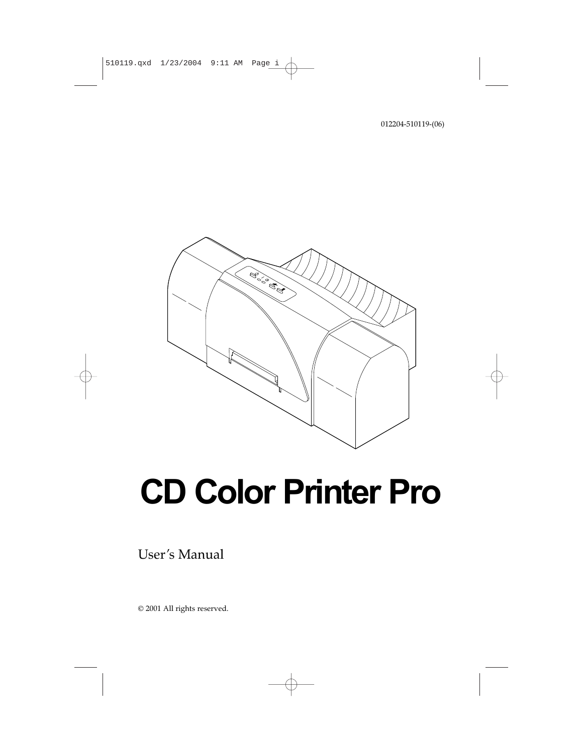

# **CD Color Printer Pro**

User's Manual

© 2001 All rights reserved.

012204-510119-(06)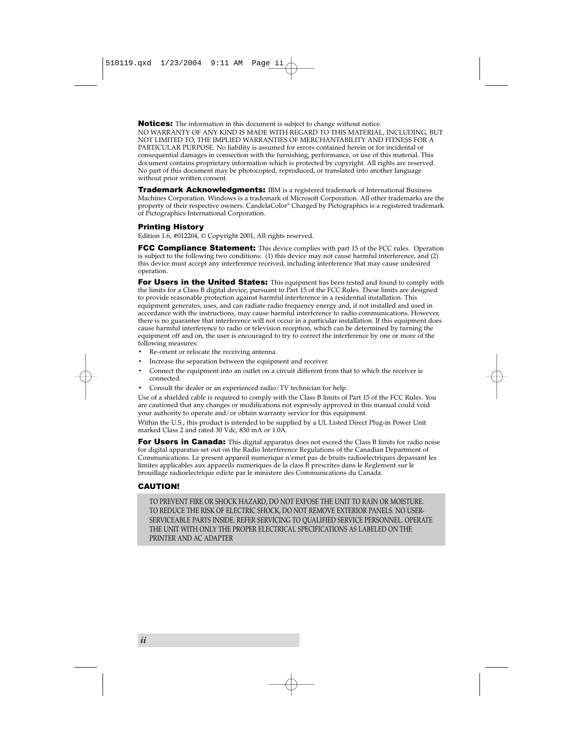Notices: The information in this document is subject to change without notice. NO WARRANTY OF ANY KIND IS MADE WITH REGARD TO THIS MATERIAL, INCLUDING, BUT NOT LIMITED TO, THE IMPLIED WARRANTIES OF MERCHANTABILITY AND FITNESS FOR A PARTICULAR PURPOSE. No liability is assumed for errors contained herein or for incidental or consequential damages in connection with the furnishing, performance, or use of this material. This document contains proprietary information which is protected by copyright. All rights are reserved. No part of this document may be photocopied, reproduced, or translated into another language without prior written consent.

**Trademark Acknowledgments:** IBM is a registered trademark of International Business Machines Corporation. Windows is a trademark of Microsoft Corporation. All other trademarks are the property of their respective owners. CandelaColor® Charged by Pictographics is a registered trademark of Pictographics International Corporation.

#### Printing History

Edition 1.6, #012204, © Copyright 2001, All rights reserved.

**FCC Compliance Statement:** This device complies with part 15 of the FCC rules. Operation is subject to the following two conditions: (1) this device may not cause harmful interference, and (2) this device must accept any interference received, including interference that may cause undesired operation.

For Users in the United States: This equipment has been tested and found to comply with the limits for a Class B digital device, pursuant to Part 15 of the FCC Rules. These limits are designed to provide reasonable protection against harmful interference in a residential installation. This equipment generates, uses, and can radiate radio frequency energy and, if not installed and used in accordance with the instructions, may cause harmful interference to radio communications. However, there is no guarantee that interference will not occur in a particular installation. If this equipment does cause harmful interference to radio or television reception, which can be determined by turning the equipment off and on, the user is encouraged to try to correct the interference by one or more of the following measures:

- Re-orient or relocate the receiving antenna.
- Increase the separation between the equipment and receiver.
- Connect the equipment into an outlet on a circuit different from that to which the receiver is connected.
- Consult the dealer or an experienced radio/TV technician for help.

Use of a shielded cable is required to comply with the Class B limits of Part 15 of the FCC Rules. You are cautioned that any changes or modifications not expressly approved in this manual could void your authority to operate and/or obtain warranty service for this equipment.

Within the U.S., this product is intended to be supplied by a UL Listed Direct Plug-in Power Unit marked Class 2 and rated 30 Vdc, 830 mA or 1.0A.

For Users in Canada: This digital apparatus does not exceed the Class B limits for radio noise for digital apparatus set out on the Radio Interference Regulations of the Canadian Department of Communications. Le present appareil numerique n'emet pas de bruits radioelectriques depassant les limites applicables aux appareils numeriques de la class B prescrites dans le Reglement sur le brouillage radioelectrique edicte par le ministere des Communications du Canada.

#### CAUTION!

TO PREVENT FIRE OR SHOCK HAZARD, DO NOT EXPOSE THE UNIT TO RAIN OR MOISTURE. TO REDUCE THE RISK OF ELECTRIC SHOCK, DO NOT REMOVE EXTERIOR PANELS. NO USER-SERVICEABLE PARTS INSIDE. REFER SERVICING TO QUALIFIED SERVICE PERSONNEL. OPERATE THE UNIT WITH ONLY THE PROPER ELECTRICAL SPECIFICATIONS AS LABELED ON THE PRINTER AND AC ADAPTER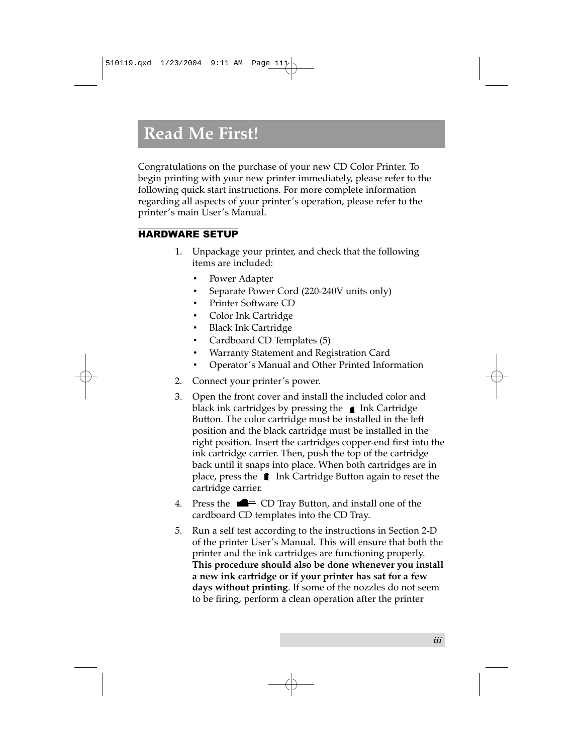### **Read Me First!**

Congratulations on the purchase of your new CD Color Printer. To begin printing with your new printer immediately, please refer to the following quick start instructions. For more complete information regarding all aspects of your printer's operation, please refer to the printer's main User's Manual.

#### HARDWARE SETUP

- 1. Unpackage your printer, and check that the following items are included:
	- Power Adapter
	- Separate Power Cord (220-240V units only)
	- Printer Software CD
	- Color Ink Cartridge
	- Black Ink Cartridge
	- Cardboard CD Templates (5)
	- Warranty Statement and Registration Card
	- Operator's Manual and Other Printed Information
- 2. Connect your printer's power.
- 3. Open the front cover and install the included color and black ink cartridges by pressing the  $\bullet$  Ink Cartridge Button. The color cartridge must be installed in the left position and the black cartridge must be installed in the right position. Insert the cartridges copper-end first into the ink cartridge carrier. Then, push the top of the cartridge back until it snaps into place. When both cartridges are in place, press the  $\parallel$  Ink Cartridge Button again to reset the cartridge carrier.
- 4. Press the  $\blacksquare$  CD Tray Button, and install one of the cardboard CD templates into the CD Tray.
- 5. Run a self test according to the instructions in Section 2-D of the printer User's Manual. This will ensure that both the printer and the ink cartridges are functioning properly. **This procedure should also be done whenever you install a new ink cartridge or if your printer has sat for a few days without printing**. If some of the nozzles do not seem to be firing, perform a clean operation after the printer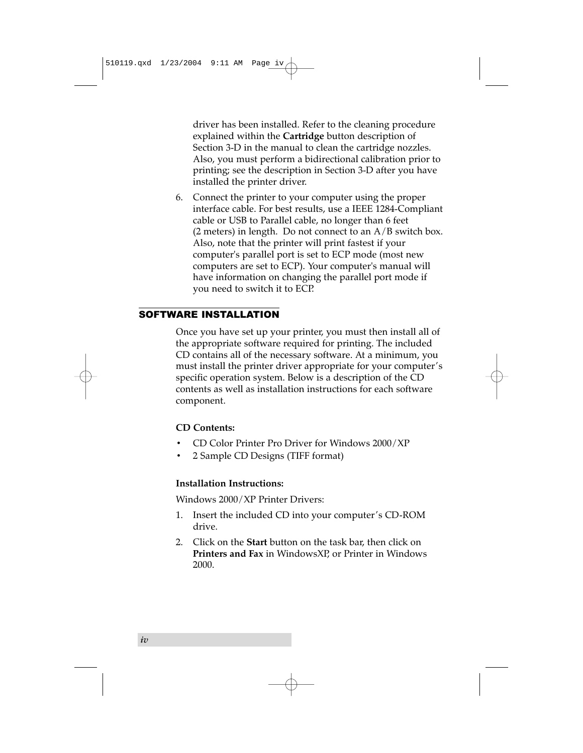driver has been installed. Refer to the cleaning procedure explained within the **Cartridge** button description of Section 3-D in the manual to clean the cartridge nozzles. Also, you must perform a bidirectional calibration prior to printing; see the description in Section 3-D after you have installed the printer driver.

6. Connect the printer to your computer using the proper interface cable. For best results, use a IEEE 1284-Compliant cable or USB to Parallel cable, no longer than 6 feet  $(2 \text{ meters})$  in length. Do not connect to an  $A/B$  switch box. Also, note that the printer will print fastest if your computer's parallel port is set to ECP mode (most new computers are set to ECP). Your computer's manual will have information on changing the parallel port mode if you need to switch it to ECP.

#### SOFTWARE INSTALLATION

Once you have set up your printer, you must then install all of the appropriate software required for printing. The included CD contains all of the necessary software. At a minimum, you must install the printer driver appropriate for your computer's specific operation system. Below is a description of the CD contents as well as installation instructions for each software component.

#### **CD Contents:**

- CD Color Printer Pro Driver for Windows 2000/XP
- 2 Sample CD Designs (TIFF format)

#### **Installation Instructions:**

Windows 2000/XP Printer Drivers:

- 1. Insert the included CD into your computer's CD-ROM drive.
- 2. Click on the **Start** button on the task bar, then click on **Printers and Fax** in WindowsXP, or Printer in Windows 2000.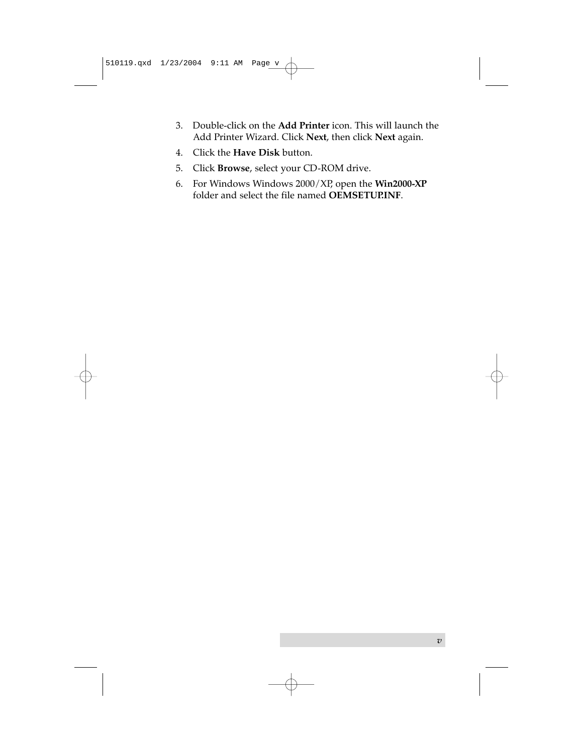- 3. Double-click on the **Add Printer** icon. This will launch the Add Printer Wizard. Click **Next**, then click **Next** again.
- 4. Click the **Have Disk** button.
- 5. Click **Browse**, select your CD-ROM drive.
- 6. For Windows Windows 2000/XP, open the **Win2000-XP** folder and select the file named **OEMSETUP.INF**.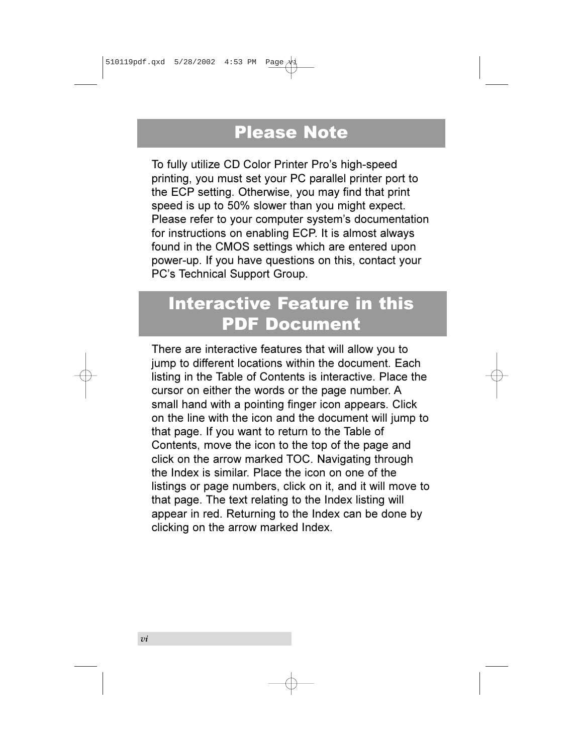### Please Note

To fully utilize CD Color Printer Pro's high-speed printing, you must set your PC parallel printer port to the ECP setting. Otherwise, you may find that print speed is up to 50% slower than you might expect. Please refer to your computer system's documentation for instructions on enabling ECP. It is almost always found in the CMOS settings which are entered upon power-up. If you have questions on this, contact your PC's Technical Support Group.

### Interactive Feature in this PDF Document

There are interactive features that will allow you to jump to different locations within the document. Each listing in the Table of Contents is interactive. Place the cursor on either the words or the page number. A small hand with a pointing finger icon appears. Click on the line with the icon and the document will jump to that page. If you want to return to the Table of Contents, move the icon to the top of the page and click on the arrow marked TOC. Navigating through the Index is similar. Place the icon on one of the listings or page numbers, click on it, and it will move to that page. The text relating to the Index listing will appear in red. Returning to the Index can be done by clicking on the arrow marked Index.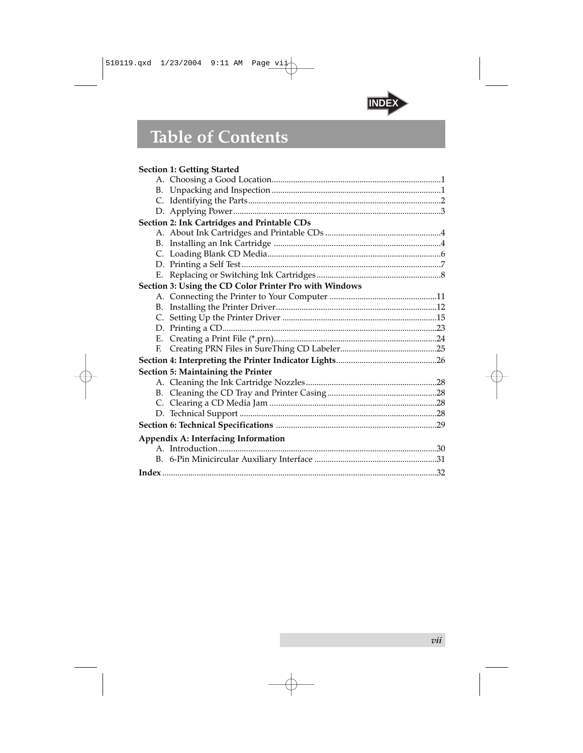

### **Table of Contents**

|    | <b>Section 1: Getting Started</b>                      |
|----|--------------------------------------------------------|
|    |                                                        |
|    |                                                        |
|    |                                                        |
|    |                                                        |
|    | Section 2: Ink Cartridges and Printable CDs            |
|    |                                                        |
|    |                                                        |
|    |                                                        |
|    |                                                        |
|    |                                                        |
|    | Section 3: Using the CD Color Printer Pro with Windows |
|    |                                                        |
|    |                                                        |
|    |                                                        |
|    |                                                        |
|    |                                                        |
| E. |                                                        |
|    |                                                        |
|    | Section 5: Maintaining the Printer                     |
|    |                                                        |
|    |                                                        |
|    |                                                        |
|    |                                                        |
|    |                                                        |
|    | Appendix A: Interfacing Information                    |
|    |                                                        |
|    |                                                        |
|    |                                                        |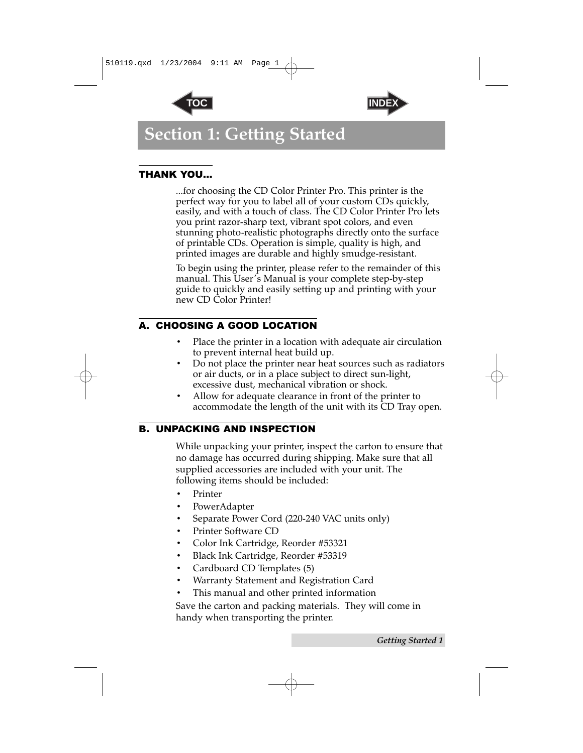



### <span id="page-8-0"></span>**Section 1: Getting Started**

#### THANK YOU…

...for choosing the CD Color Printer Pro. This printer is the perfect way for you to label all of your custom CDs quickly, easily, and with a touch of class. The CD Color Printer Pro lets you print razor-sharp text, vibrant spot colors, and even stunning photo-realistic photographs directly onto the surface of printable CDs. Operation is simple, quality is high, and printed images are durable and highly smudge-resistant.

To begin using the printer, please refer to the remainder of this manual. This User's Manual is your complete step-by-step guide to quickly and easily setting up and printing with your new CD Color Printer!

#### A. CHOOSING A GOOD LOCATION

- Place the printer in a location with adequate air circulation to prevent internal heat build up.
- Do not place the printer near heat sources such as radiators or air ducts, or in a place subject to direct sun-light, excessive dust, mechanical vibration or shock.
- Allow for adequate clearance in front of the printer to accommodate the length of the unit with its CD Tray open.

#### B. UNPACKING AND INSPECTION

While unpacking your printer, inspect the carton to ensure that no damage has occurred during shipping. Make sure that all supplied accessories are included with your unit. The following items should be included:

- **Printer**
- PowerAdapter
- Separate Power Cord (220-240 VAC units only)
- Printer Software CD
- Color Ink Cartridge, Reorder #53321
- Black Ink Cartridge, Reorder #53319
- Cardboard CD Templates (5)
- Warranty Statement and Registration Card
- This manual and other printed information

Save the carton and packing materials. They will come in handy when transporting the printer.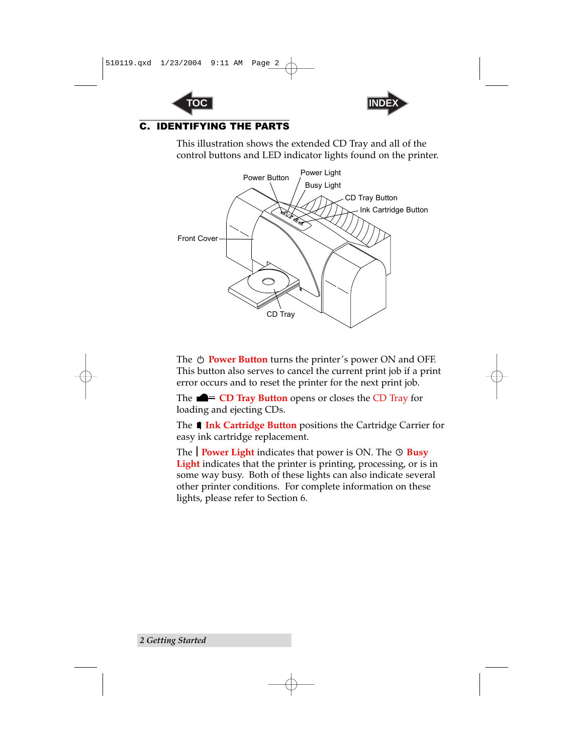



#### <span id="page-9-1"></span><span id="page-9-0"></span>C. IDENTIFYING THE PARTS

This illustration shows the extended CD Tray and all of the control buttons and LED indicator lights found on the printer.



The  $\circlearrowright$  **Power Button** turns the printer's power ON and OFF. This button also serves to cancel the current print job if a print error occurs and to reset the printer for the next print job.

The **CD Tray Button** opens or closes the CD Tray for loading and ejecting CDs.

The **1 Ink Cartridge Button** positions the Cartridge Carrier for easy ink cartridge replacement.

The **Power Light** indicates that power is ON. The  $\circledcirc$  **Busy Light** indicates that the printer is printing, processing, or is in some way busy. Both of these lights can also indicate several other printer conditions. For complete information on these lights, please refer to Section 6.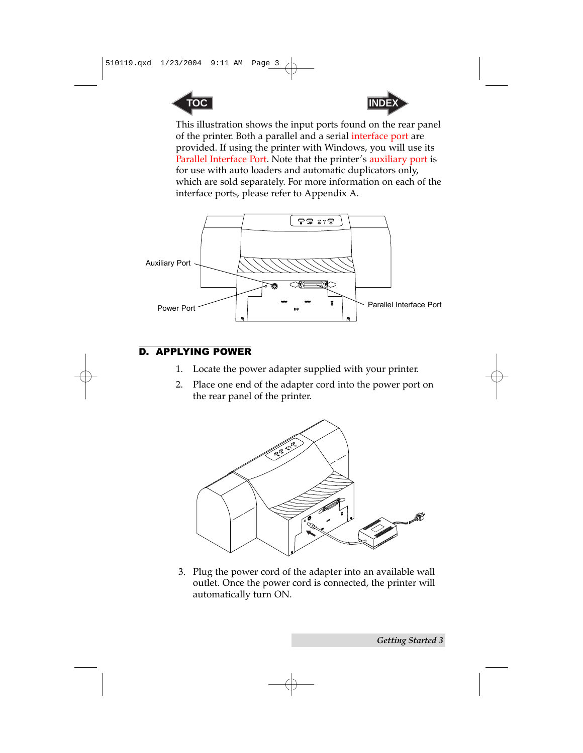<span id="page-10-1"></span>



This illustration shows the input ports found on the rear panel of the printer. Both a parallel and a serial interface port are provided. If using the printer with Windows, you will use its Parallel Interface Port. Note that the printer's auxiliary port is for use with auto loaders and automatic duplicators only, which are sold separately. For more information on each of the interface ports, please refer to Appendix A.

<span id="page-10-0"></span>

#### D. APPLYING POWER

- 1. Locate the power adapter supplied with your printer.
- 2. Place one end of the adapter cord into the power port on the rear panel of the printer.



3. Plug the power cord of the adapter into an available wall outlet. Once the power cord is connected, the printer will automatically turn ON.

*Getting Started 3*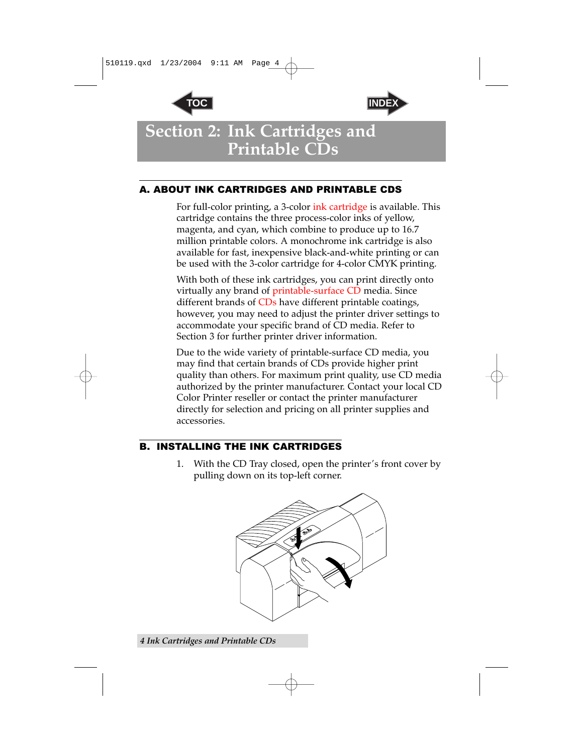



### <span id="page-11-0"></span>**Section 2: Ink Cartridges and Printable CDs**

#### A. ABOUT INK CARTRIDGES AND PRINTABLE CDS

For full-color printing, a 3-color ink cartridge is available. This cartridge contains the three process-color inks of yellow, magenta, and cyan, which combine to produce up to 16.7 million printable colors. A monochrome ink cartridge is also available for fast, inexpensive black-and-white printing or can be used with the 3-color cartridge for 4-color CMYK printing.

With both of these ink cartridges, you can print directly onto virtually any brand of printable-surface CD media. Since different brands of CDs have different printable coatings, however, you may need to adjust the printer driver settings to accommodate your specific brand of CD media. Refer to Section 3 for further printer driver information.

Due to the wide variety of printable-surface CD media, you may find that certain brands of CDs provide higher print quality than others. For maximum print quality, use CD media authorized by the printer manufacturer. Contact your local CD Color Printer reseller or contact the printer manufacturer directly for selection and pricing on all printer supplies and accessories.

#### B. INSTALLING THE INK CARTRIDGES

1. With the CD Tray closed, open the printer's front cover by pulling down on its top-left corner.



*4 Ink Cartridges and Printable CDs*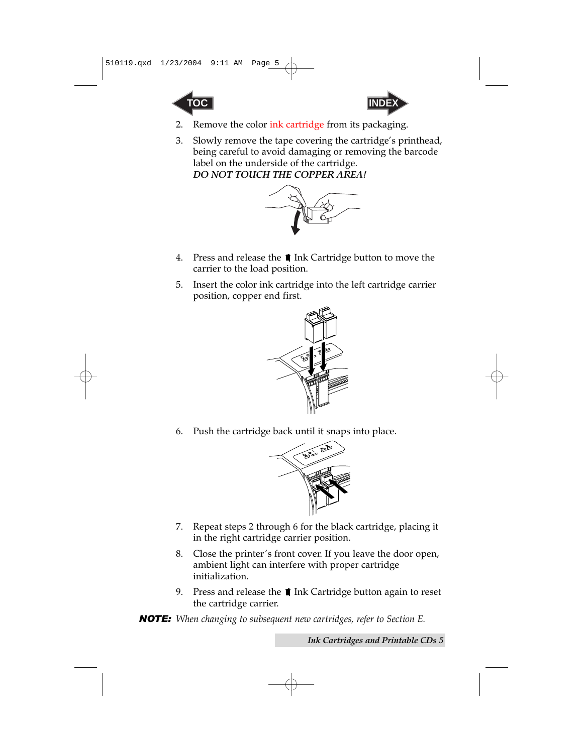<span id="page-12-0"></span>



- 2. Remove the color ink cartridge from its packaging.
- 3. Slowly remove the tape covering the cartridge's printhead, being careful to avoid damaging or removing the barcode label on the underside of the cartridge. *DO NOT TOUCH THE COPPER AREA!*



- 4. Press and release the **1** Ink Cartridge button to move the carrier to the load position.
- 5. Insert the color ink cartridge into the left cartridge carrier position, copper end first.



6. Push the cartridge back until it snaps into place.



- 7. Repeat steps 2 through 6 for the black cartridge, placing it in the right cartridge carrier position.
- 8. Close the printer's front cover. If you leave the door open, ambient light can interfere with proper cartridge initialization.
- 9. Press and release the  $\blacksquare$  Ink Cartridge button again to reset the cartridge carrier.
- *NOTE: When changing to subsequent new cartridges, refer to Section E.*

*Ink Cartridges and Printable CDs 5*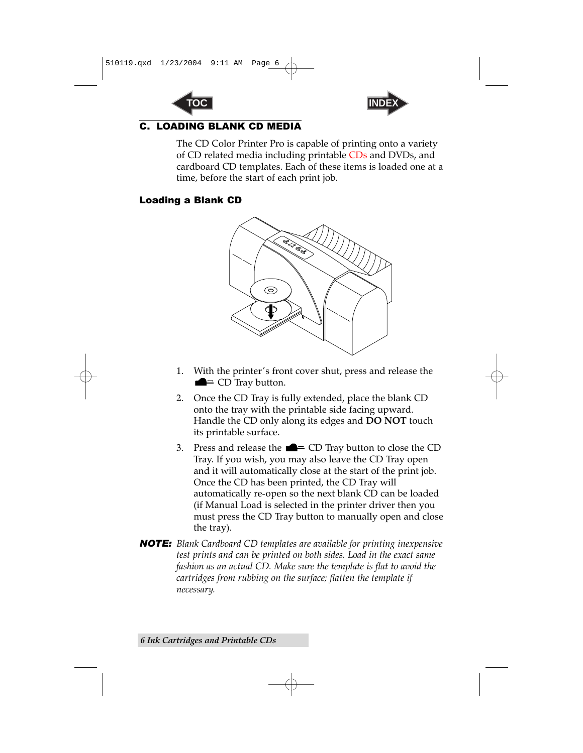



#### <span id="page-13-0"></span>C. LOADING BLANK CD MEDIA

The CD Color Printer Pro is capable of printing onto a variety of CD related media including printable CDs and DVDs, and cardboard CD templates. Each of these items is loaded one at a time, before the start of each print job.

#### Loading a Blank CD



- 1. With the printer's front cover shut, press and release the  $\blacksquare$  CD Tray button.
- 2. Once the CD Tray is fully extended, place the blank CD onto the tray with the printable side facing upward. Handle the CD only along its edges and **DO NOT** touch its printable surface.
- 3. Press and release the  $\blacksquare$  CD Tray button to close the CD Tray. If you wish, you may also leave the CD Tray open and it will automatically close at the start of the print job. Once the CD has been printed, the CD Tray will automatically re-open so the next blank CD can be loaded (if Manual Load is selected in the printer driver then you must press the CD Tray button to manually open and close the tray).
- *NOTE: Blank Cardboard CD templates are available for printing inexpensive test prints and can be printed on both sides. Load in the exact same fashion as an actual CD. Make sure the template is flat to avoid the cartridges from rubbing on the surface; flatten the template if necessary.*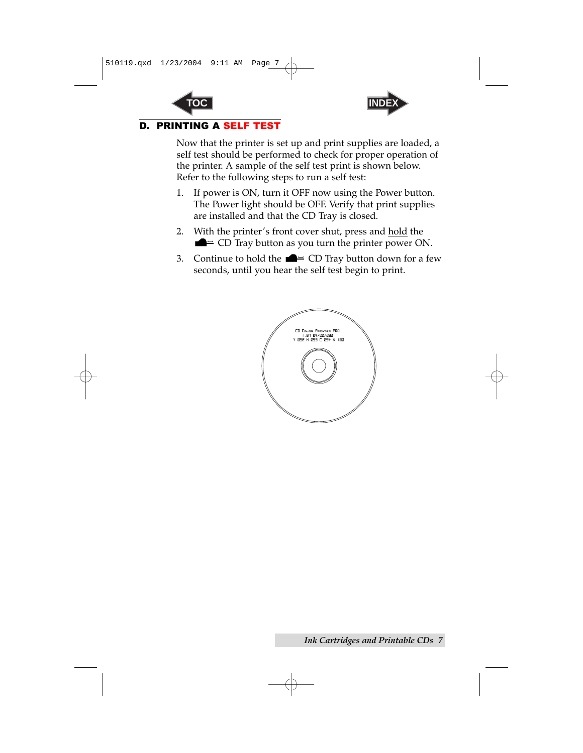



#### <span id="page-14-0"></span>D. PRINTING A SELF TEST

Now that the printer is set up and print supplies are loaded, a self test should be performed to check for proper operation of the printer. A sample of the self test print is shown below. Refer to the following steps to run a self test:

- 1. If power is ON, turn it OFF now using the Power button. The Power light should be OFF. Verify that print supplies are installed and that the CD Tray is closed.
- 2. With the printer's front cover shut, press and hold the  $\blacksquare$   $\equiv$  CD Tray button as you turn the printer power ON.
- 3. Continue to hold the  $\blacksquare$  CD Tray button down for a few seconds, until you hear the self test begin to print.

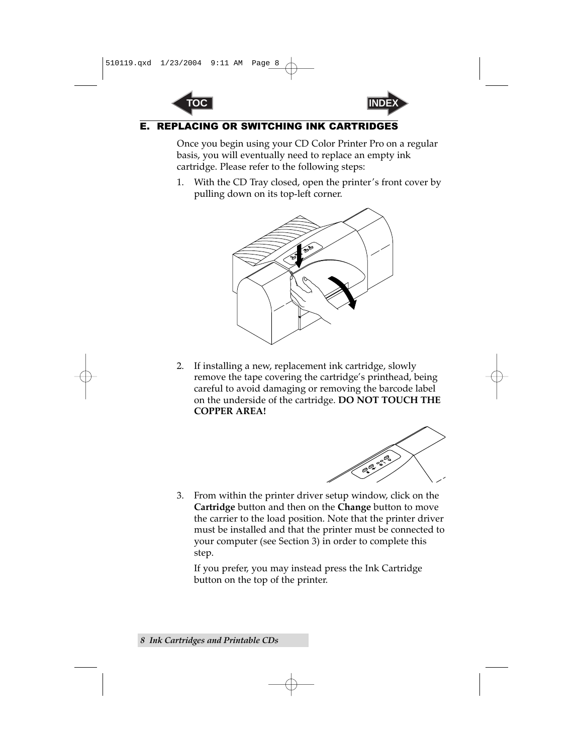



#### <span id="page-15-0"></span>**E. REPLACING OR SWITCHING INK CARTRIDG**

Once you begin using your CD Color Printer Pro on a regular basis, you will eventually need to replace an empty ink cartridge. Please refer to the following steps:

1. With the CD Tray closed, open the printer's front cover by pulling down on its top-left corner.



2. If installing a new, replacement ink cartridge, slowly remove the tape covering the cartridge's printhead, being careful to avoid damaging or removing the barcode label on the underside of the cartridge. **DO NOT TOUCH THE COPPER AREA!**



3. From within the printer driver setup window, click on the **Cartridge** button and then on the **Change** button to move the carrier to the load position. Note that the printer driver must be installed and that the printer must be connected to your computer (see Section 3) in order to complete this step.

If you prefer, you may instead press the Ink Cartridge button on the top of the printer.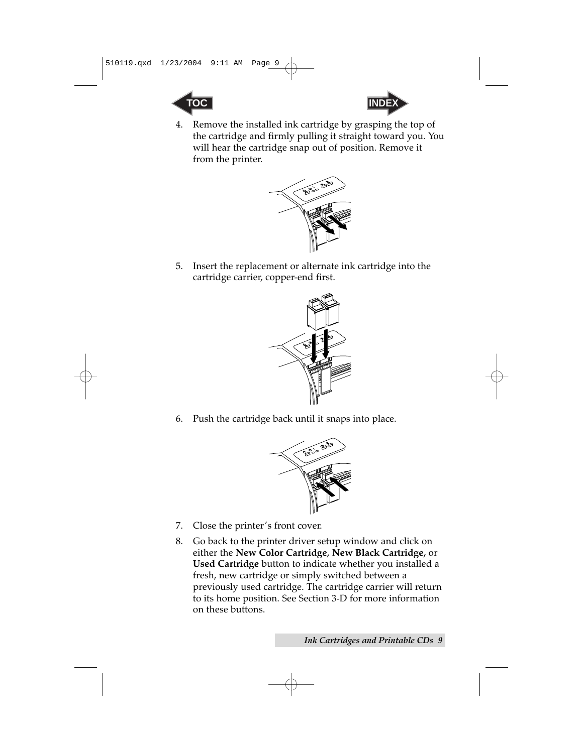



4. Remove the installed ink cartridge by grasping the top of the cartridge and firmly pulling it straight toward you. You will hear the cartridge snap out of position. Remove it from the printer.



5. Insert the replacement or alternate ink cartridge into the cartridge carrier, copper-end first.



6. Push the cartridge back until it snaps into place.



- 7. Close the printer's front cover.
- 8. Go back to the printer driver setup window and click on either the **New Color Cartridge, New Black Cartridge,** or **Used Cartridge** button to indicate whether you installed a fresh, new cartridge or simply switched between a previously used cartridge. The cartridge carrier will return to its home position. See Section 3-D for more information on these buttons.

*Ink Cartridges and Printable CDs 9*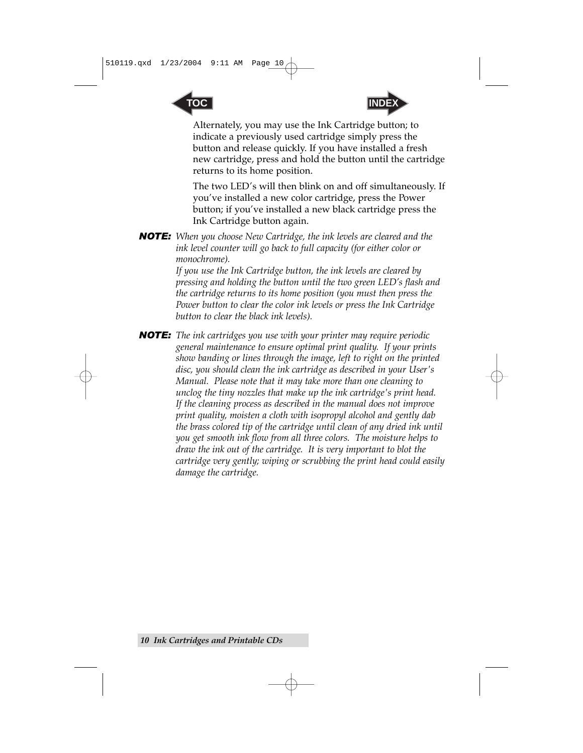



Alternately, you may use the Ink Cartridge button; to indicate a previously used cartridge simply press the button and release quickly. If you have installed a fresh new cartridge, press and hold the button until the cartridge returns to its home position.

The two LED's will then blink on and off simultaneously. If you've installed a new color cartridge, press the Power button; if you've installed a new black cartridge press the Ink Cartridge button again.

*NOTE: When you choose New Cartridge, the ink levels are cleared and the ink level counter will go back to full capacity (for either color or monochrome).*

> *If you use the Ink Cartridge button, the ink levels are cleared by pressing and holding the button until the two green LED's flash and the cartridge returns to its home position (you must then press the Power button to clear the color ink levels or press the Ink Cartridge button to clear the black ink levels).*

*NOTE: The ink cartridges you use with your printer may require periodic general maintenance to ensure optimal print quality. If your prints show banding or lines through the image, left to right on the printed disc, you should clean the ink cartridge as described in your User's Manual. Please note that it may take more than one cleaning to unclog the tiny nozzles that make up the ink cartridge's print head. If the cleaning process as described in the manual does not improve print quality, moisten a cloth with isopropyl alcohol and gently dab the brass colored tip of the cartridge until clean of any dried ink until you get smooth ink flow from all three colors. The moisture helps to draw the ink out of the cartridge. It is very important to blot the cartridge very gently; wiping or scrubbing the print head could easily damage the cartridge.*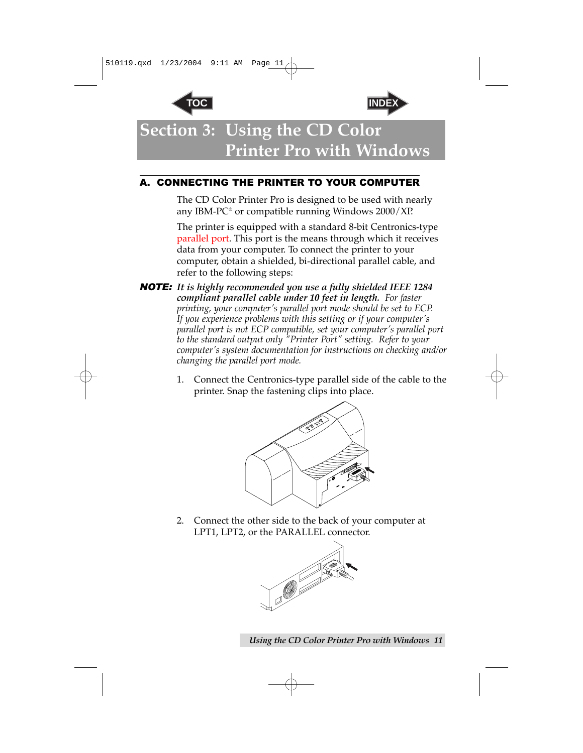



<span id="page-18-0"></span>**Section 3: Using the CD Color Printer Pro with Windows**

### A. CONNECTING THE PRINTER TO YOUR COMPUTER

The CD Color Printer Pro is designed to be used with nearly any IBM-PC<sup>®</sup> or compatible running Windows  $2000/XP$ .

The printer is equipped with a standard 8-bit Centronics-type parallel port. This port is the means through which it receives data from your computer. To connect the printer to your computer, obtain a shielded, bi-directional parallel cable, and refer to the following steps:

- *NOTE: It is highly recommended you use a fully shielded IEEE 1284 compliant parallel cable under 10 feet in length. For faster printing, your computer's parallel port mode should be set to ECP. If you experience problems with this setting or if your computer's parallel port is not ECP compatible, set your computer's parallel port to the standard output only "Printer Port" setting. Refer to your computer's system documentation for instructions on checking and/or changing the parallel port mode.*
	- 1. Connect the Centronics-type parallel side of the cable to the printer. Snap the fastening clips into place.



2. Connect the other side to the back of your computer at LPT1, LPT2, or the PARALLEL connector.



*Using the CD Color Printer Pro with Windows 11*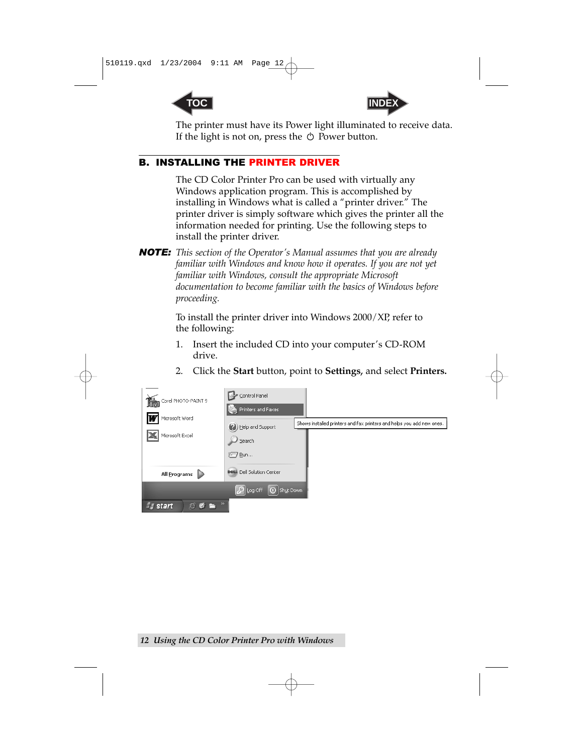<span id="page-19-1"></span>



The printer must have its Power light illuminated to receive data. If the light is not on, press the  $\circlearrowright$  Power button.

#### <span id="page-19-0"></span>B. INSTALLING THE PRINTER DRIVER

The CD Color Printer Pro can be used with virtually any Windows application program. This is accomplished by installing in Windows what is called a "printer driver." The printer driver is simply software which gives the printer all the information needed for printing. Use the following steps to install the printer driver.

*NOTE: This section of the Operator's Manual assumes that you are already familiar with Windows and know how it operates. If you are not yet familiar with Windows, consult the appropriate Microsoft documentation to become familiar with the basics of Windows before proceeding.*

> To install the printer driver into Windows 2000/XP, refer to the following:

1. Insert the included CD into your computer's CD-ROM drive.



2. Click the **Start** button, point to **Settings,** and select **Printers.**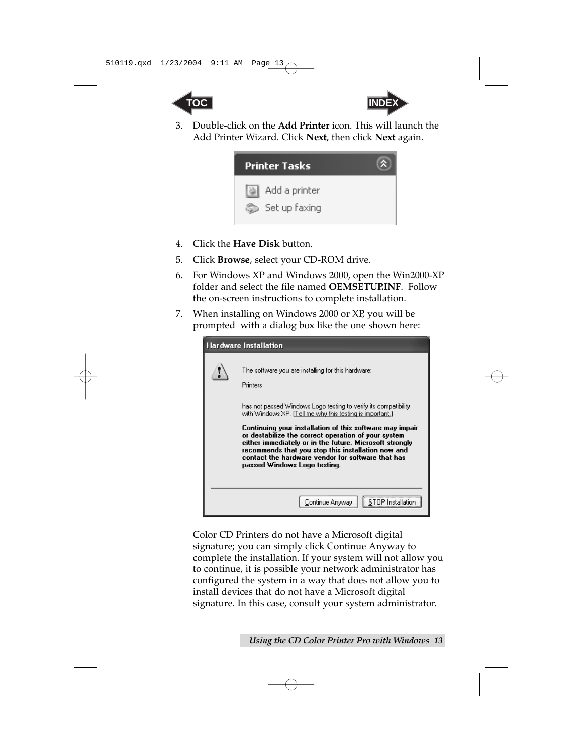



3. Double-click on the **Add Printer** icon. This will launch the Add Printer Wizard. Click **Next**, then click **Next** again.



- 4. Click the **Have Disk** button.
- 5. Click **Browse**, select your CD-ROM drive.
- 6. For Windows XP and Windows 2000, open the Win2000-XP folder and select the file named **OEMSETUP.INF**. Follow the on-screen instructions to complete installation.
- 7. When installing on Windows 2000 or XP, you will be prompted with a dialog box like the one shown here:

| Hardware Installation                                                                                                                                                                                                                                                                                                                                                                                                                                                                                                    |
|--------------------------------------------------------------------------------------------------------------------------------------------------------------------------------------------------------------------------------------------------------------------------------------------------------------------------------------------------------------------------------------------------------------------------------------------------------------------------------------------------------------------------|
| The software you are installing for this hardware:<br>Printers<br>has not passed Windows Logo testing to verify its compatibility.<br>with Windows XP. [Tell me why this testing is important.]<br>Continuing your installation of this software may impair<br>or destabilize the correct operation of your system<br>either immediately or in the future. Microsoft strongly<br>recommends that you stop this installation now and<br>contact the hardware vendor for software that has<br>passed Windows Logo testing. |
| Continue Anyway                                                                                                                                                                                                                                                                                                                                                                                                                                                                                                          |

Color CD Printers do not have a Microsoft digital signature; you can simply click Continue Anyway to complete the installation. If your system will not allow you to continue, it is possible your network administrator has configured the system in a way that does not allow you to install devices that do not have a Microsoft digital signature. In this case, consult your system administrator.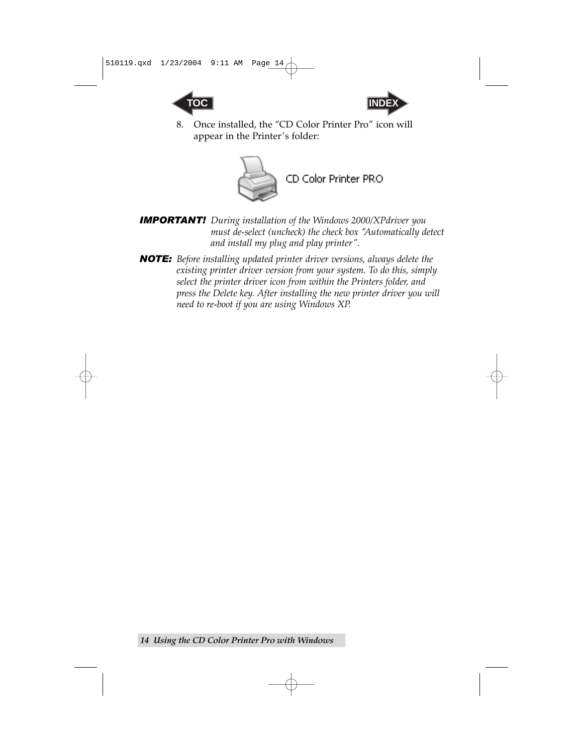



8. Once installed, the "CD Color Printer Pro" icon will appear in the Printer's folder:



*IMPORTANT! During installation of the Windows 2000/XPdriver you must de-select (uncheck) the check box "Automatically detect and install my plug and play printer".*

*NOTE: Before installing updated printer driver versions, always delete the existing printer driver version from your system. To do this, simply select the printer driver icon from within the Printers folder, and press the Delete key. After installing the new printer driver you will need to re-boot if you are using Windows XP.*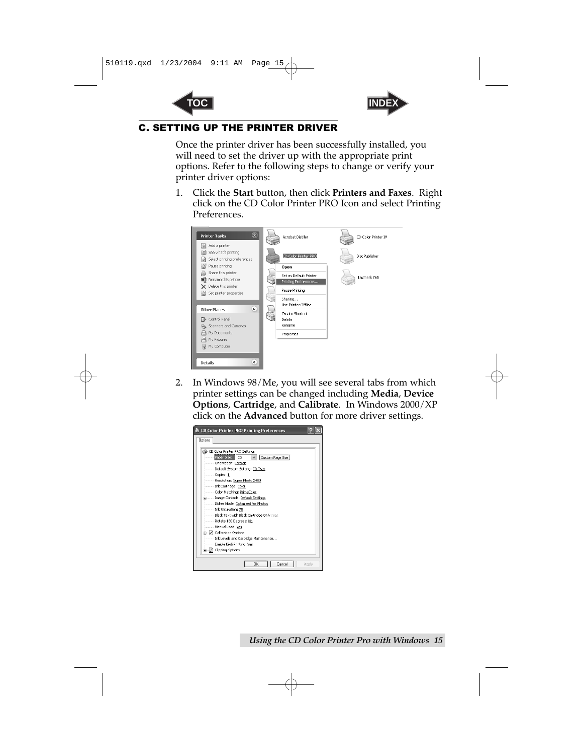



#### <span id="page-22-0"></span>C. SETTING UP THE PRINTER DRIVER

Once the printer driver has been successfully installed, you will need to set the driver up with the appropriate print options. Refer to the following steps to change or verify your printer driver options:

1. Click the **Start** button, then click **Printers and Faxes**. Right click on the CD Color Printer PRO Icon and select Printing Preferences.



2. In Windows 98/Me, you will see several tabs from which printer settings can be changed including **Media**, **Device Options**, **Cartridge**, and **Calibrate**. In Windows 2000/XP click on the **Advanced** button for more driver settings.

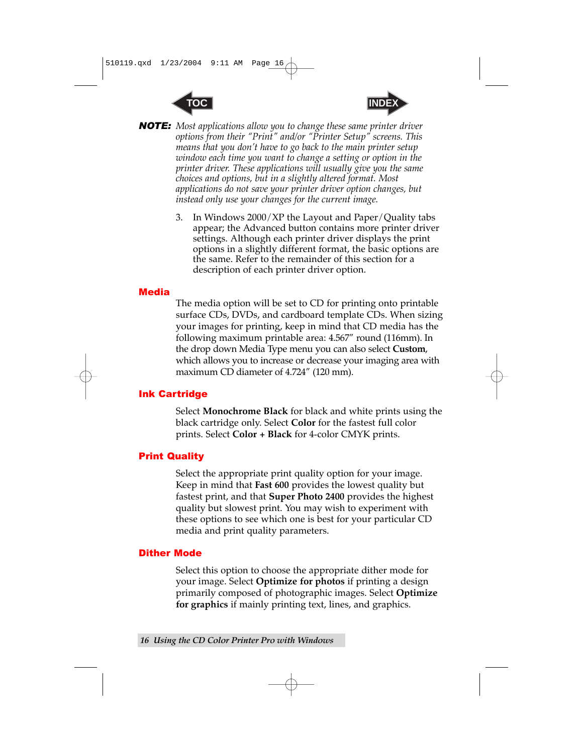



<span id="page-23-0"></span>*NOTE: Most applications allow you to change these same printer driver options from their "Print" and/or "Printer Setup" screens. This means that you don't have to go back to the main printer setup window each time you want to change a setting or option in the printer driver. These applications will usually give you the same choices and options, but in a slightly altered format. Most applications do not save your printer driver option changes, but instead only use your changes for the current image.*

> 3. In Windows 2000/XP the Layout and Paper/Quality tabs appear; the Advanced button contains more printer driver settings. Although each printer driver displays the print options in a slightly different format, the basic options are the same. Refer to the remainder of this section for a description of each printer driver option.

#### **Media**

The media option will be set to CD for printing onto printable surface CDs, DVDs, and cardboard template CDs. When sizing your images for printing, keep in mind that CD media has the following maximum printable area: 4.567" round (116mm). In the drop down Media Type menu you can also select **Custom**, which allows you to increase or decrease your imaging area with maximum CD diameter of 4.724" (120 mm).

#### Ink Cartridge

Select **Monochrome Black** for black and white prints using the black cartridge only. Select **Color** for the fastest full color prints. Select **Color + Black** for 4-color CMYK prints.

#### Print Quality

Select the appropriate print quality option for your image. Keep in mind that **Fast 600** provides the lowest quality but fastest print, and that **Super Photo 2400** provides the highest quality but slowest print. You may wish to experiment with these options to see which one is best for your particular CD media and print quality parameters.

#### Dither Mode

Select this option to choose the appropriate dither mode for your image. Select **Optimize for photos** if printing a design primarily composed of photographic images. Select **Optimize for graphics** if mainly printing text, lines, and graphics.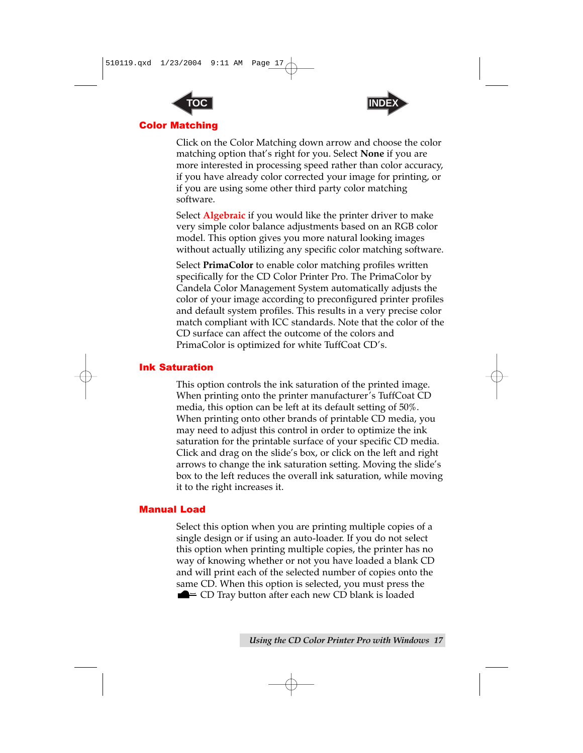<span id="page-24-0"></span>



#### Color Matching

Click on the Color Matching down arrow and choose the color matching option that's right for you. Select **None** if you are more interested in processing speed rather than color accuracy, if you have already color corrected your image for printing, or if you are using some other third party color matching software.

Select **Algebraic** if you would like the printer driver to make very simple color balance adjustments based on an RGB color model. This option gives you more natural looking images without actually utilizing any specific color matching software.

Select **PrimaColor** to enable color matching profiles written specifically for the CD Color Printer Pro. The PrimaColor by Candela Color Management System automatically adjusts the color of your image according to preconfigured printer profiles and default system profiles. This results in a very precise color match compliant with ICC standards. Note that the color of the CD surface can affect the outcome of the colors and PrimaColor is optimized for white TuffCoat CD's.

#### Ink Saturation

This option controls the ink saturation of the printed image. When printing onto the printer manufacturer's TuffCoat CD media, this option can be left at its default setting of 50%. When printing onto other brands of printable CD media, you may need to adjust this control in order to optimize the ink saturation for the printable surface of your specific CD media. Click and drag on the slide's box, or click on the left and right arrows to change the ink saturation setting. Moving the slide's box to the left reduces the overall ink saturation, while moving it to the right increases it.

#### Manual Load

Select this option when you are printing multiple copies of a single design or if using an auto-loader. If you do not select this option when printing multiple copies, the printer has no way of knowing whether or not you have loaded a blank CD and will print each of the selected number of copies onto the same CD. When this option is selected, you must press the  $\blacksquare$  CD Tray button after each new CD blank is loaded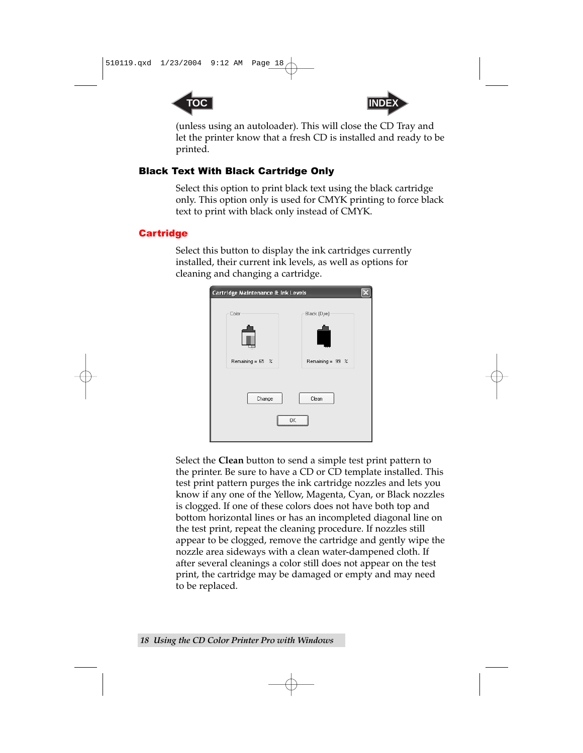



(unless using an autoloader). This will close the CD Tray and let the printer know that a fresh CD is installed and ready to be printed.

#### <span id="page-25-0"></span>Black Text With Black Cartridge Only

Select this option to print black text using the black cartridge only. This option only is used for CMYK printing to force black text to print with black only instead of CMYK.

#### **Cartridge**

Select this button to display the ink cartridges currently installed, their current ink levels, as well as options for cleaning and changing a cartridge.

| Cartridge Maintenance & Ink Levels |                  |  |  |  |
|------------------------------------|------------------|--|--|--|
| Color                              | Black (Dye)      |  |  |  |
| Remaining = 65 %                   | Remaining = 99 % |  |  |  |
| Clean<br>Change<br>OK              |                  |  |  |  |
|                                    |                  |  |  |  |

Select the **Clean** button to send a simple test print pattern to the printer. Be sure to have a CD or CD template installed. This test print pattern purges the ink cartridge nozzles and lets you know if any one of the Yellow, Magenta, Cyan, or Black nozzles is clogged. If one of these colors does not have both top and bottom horizontal lines or has an incompleted diagonal line on the test print, repeat the cleaning procedure. If nozzles still appear to be clogged, remove the cartridge and gently wipe the nozzle area sideways with a clean water-dampened cloth. If after several cleanings a color still does not appear on the test print, the cartridge may be damaged or empty and may need to be replaced.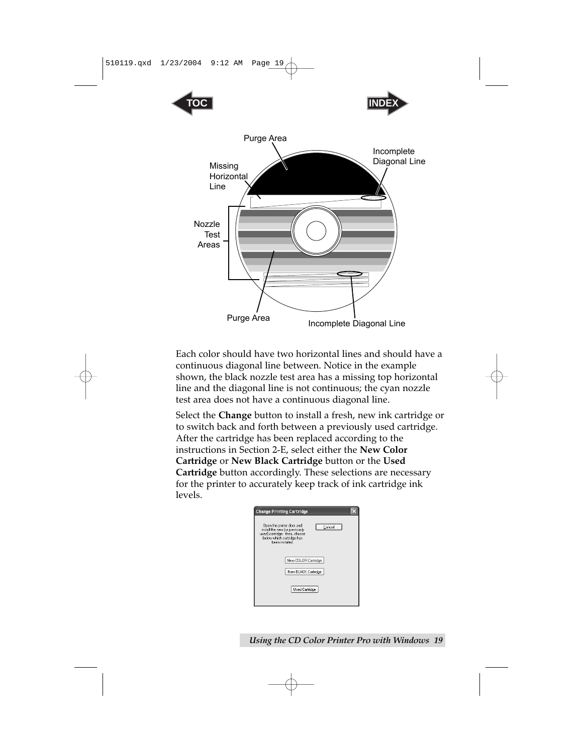

Each color should have two horizontal lines and should have a continuous diagonal line between. Notice in the example shown, the black nozzle test area has a missing top horizontal line and the diagonal line is not continuous; the cyan nozzle test area does not have a continuous diagonal line.

Select the **Change** button to install a fresh, new ink cartridge or to switch back and forth between a previously used cartridge. After the cartridge has been replaced according to the instructions in Section 2-E, select either the **New Color Cartridge** or **New Black Cartridge** button or the **Used Cartridge** button accordingly. These selections are necessary for the printer to accurately keep track of ink cartridge ink levels.

| <b>Change Printing Cartridge</b>                                                                                                                       |  |
|--------------------------------------------------------------------------------------------------------------------------------------------------------|--|
| Open the printer door and<br>Cancel<br>install the new for previously<br>used) cartridge; then, choose<br>below which cartridge has<br>heen installed. |  |
| New COLOR Cartridge                                                                                                                                    |  |
| New BLACK Cartridge                                                                                                                                    |  |
| <b>Used Cartridge</b>                                                                                                                                  |  |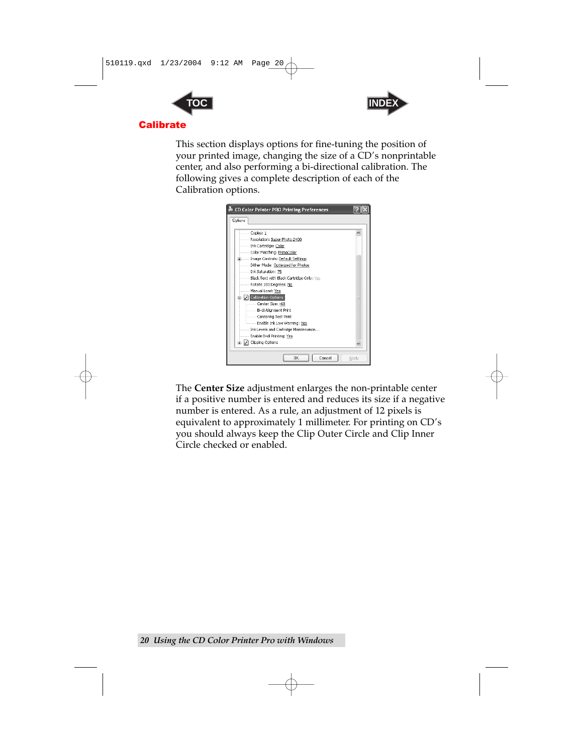<span id="page-27-0"></span>



This section displays options for fine-tuning the position of your printed image, changing the size of a CD's nonprintable center, and also performing a bi-directional calibration. The following gives a complete description of each of the Calibration options.



The **Center Size** adjustment enlarges the non-printable center if a positive number is entered and reduces its size if a negative number is entered. As a rule, an adjustment of 12 pixels is equivalent to approximately 1 millimeter. For printing on CD's you should always keep the Clip Outer Circle and Clip Inner Circle checked or enabled.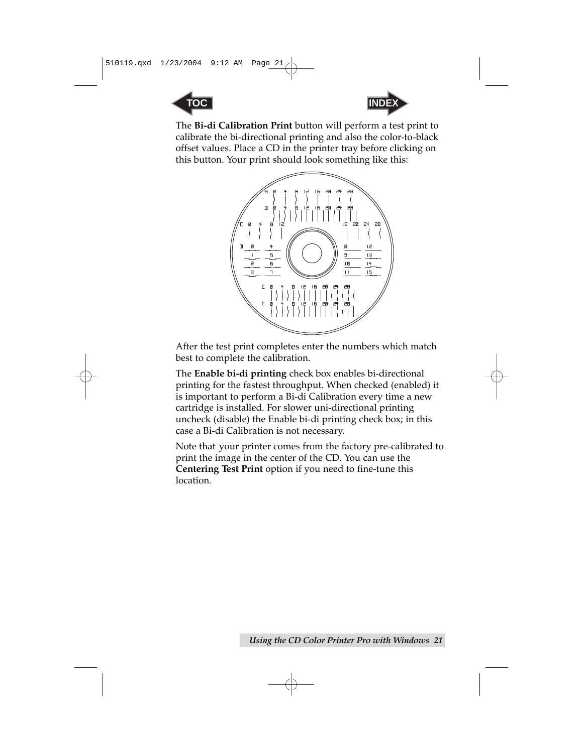



The **Bi-di Calibration Print** button will perform a test print to calibrate the bi-directional printing and also the color-to-black offset values. Place a CD in the printer tray before clicking on this button. Your print should look something like this:



After the test print completes enter the numbers which match best to complete the calibration.

The **Enable bi-di printing** check box enables bi-directional printing for the fastest throughput. When checked (enabled) it is important to perform a Bi-di Calibration every time a new cartridge is installed. For slower uni-directional printing uncheck (disable) the Enable bi-di printing check box; in this case a Bi-di Calibration is not necessary.

Note that your printer comes from the factory pre-calibrated to print the image in the center of the CD. You can use the **Centering Test Print** option if you need to fine-tune this location*.*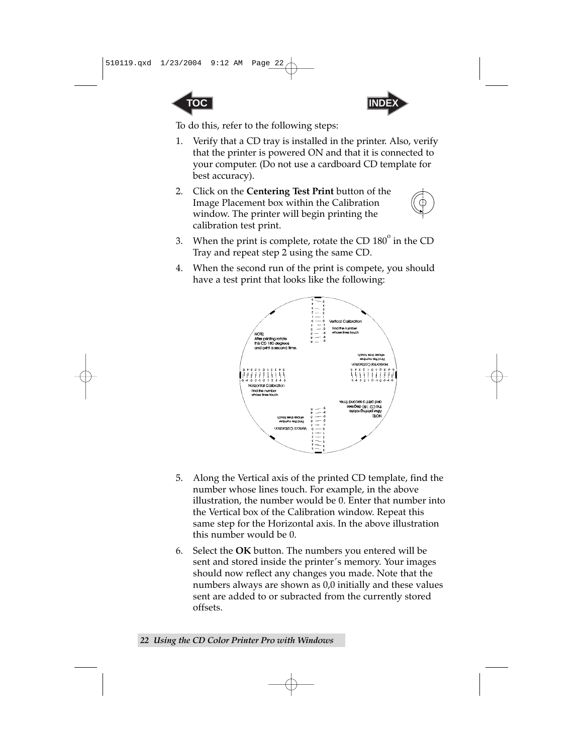



To do this, refer to the following steps:

- 1. Verify that a CD tray is installed in the printer. Also, verify that the printer is powered ON and that it is connected to your computer. (Do not use a cardboard CD template for best accuracy).
- 2. Click on the **Centering Test Print** button of the Image Placement box within the Calibration window. The printer will begin printing the calibration test print.



- 3. When the print is complete, rotate the CD  $180^\circ$  in the CD Tray and repeat step 2 using the same CD.
- 4. When the second run of the print is compete, you should have a test print that looks like the following:



- 5. Along the Vertical axis of the printed CD template, find the number whose lines touch. For example, in the above illustration, the number would be 0. Enter that number into the Vertical box of the Calibration window. Repeat this same step for the Horizontal axis. In the above illustration this number would be 0.
- 6. Select the **OK** button. The numbers you entered will be sent and stored inside the printer's memory. Your images should now reflect any changes you made. Note that the numbers always are shown as 0,0 initially and these values sent are added to or subracted from the currently stored offsets.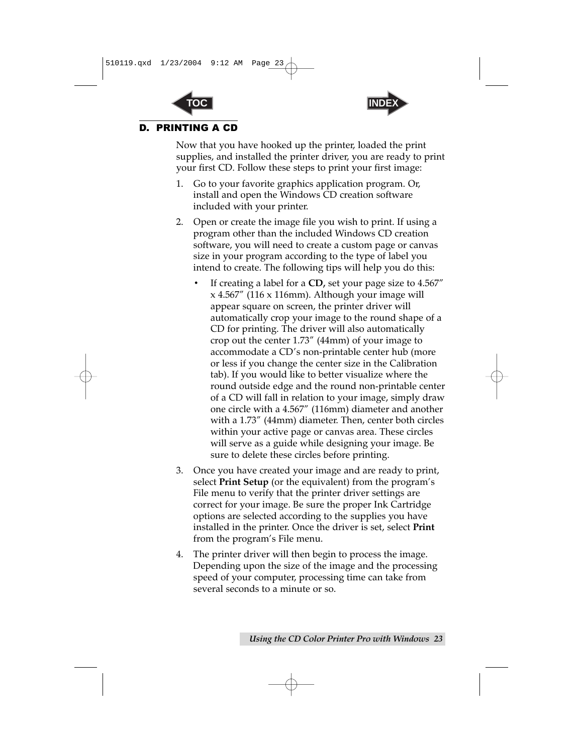



#### <span id="page-30-0"></span>D. PRINTING A CD

Now that you have hooked up the printer, loaded the print supplies, and installed the printer driver, you are ready to print your first CD. Follow these steps to print your first image:

- 1. Go to your favorite graphics application program. Or, install and open the Windows CD creation software included with your printer.
- 2. Open or create the image file you wish to print. If using a program other than the included Windows CD creation software, you will need to create a custom page or canvas size in your program according to the type of label you intend to create. The following tips will help you do this:
	- If creating a label for a **CD,** set your page size to 4.567" x 4.567" (116 x 116mm). Although your image will appear square on screen, the printer driver will automatically crop your image to the round shape of a CD for printing. The driver will also automatically crop out the center 1.73" (44mm) of your image to accommodate a CD's non-printable center hub (more or less if you change the center size in the Calibration tab). If you would like to better visualize where the round outside edge and the round non-printable center of a CD will fall in relation to your image, simply draw one circle with a 4.567" (116mm) diameter and another with a 1.73" (44mm) diameter. Then, center both circles within your active page or canvas area. These circles will serve as a guide while designing your image. Be sure to delete these circles before printing.
- 3. Once you have created your image and are ready to print, select **Print Setup** (or the equivalent) from the program's File menu to verify that the printer driver settings are correct for your image. Be sure the proper Ink Cartridge options are selected according to the supplies you have installed in the printer. Once the driver is set, select **Print** from the program's File menu.
- 4. The printer driver will then begin to process the image. Depending upon the size of the image and the processing speed of your computer, processing time can take from several seconds to a minute or so.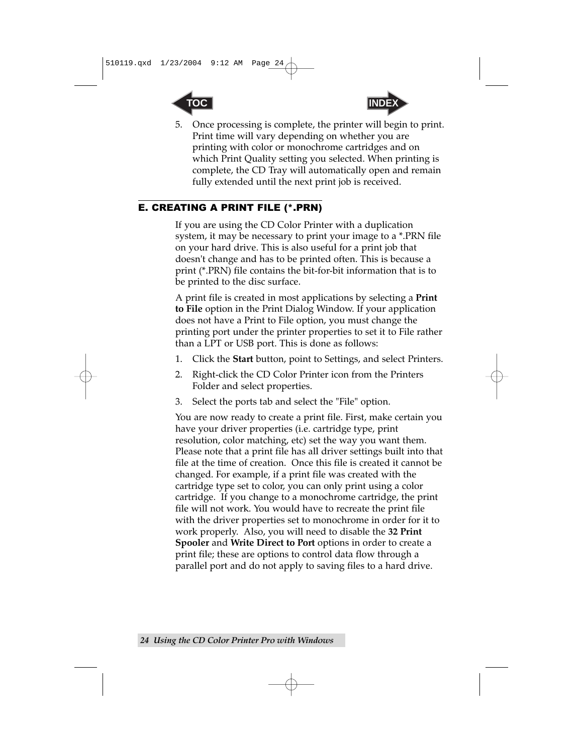<span id="page-31-0"></span>



5. Once processing is complete, the printer will begin to print. Print time will vary depending on whether you are printing with color or monochrome cartridges and on which Print Quality setting you selected. When printing is complete, the CD Tray will automatically open and remain fully extended until the next print job is received.

#### E. CREATING A PRINT FILE (\*.PRN)

If you are using the CD Color Printer with a duplication system, it may be necessary to print your image to a \*.PRN file on your hard drive. This is also useful for a print job that doesn't change and has to be printed often. This is because a print (\*.PRN) file contains the bit-for-bit information that is to be printed to the disc surface.

A print file is created in most applications by selecting a **Print to File** option in the Print Dialog Window. If your application does not have a Print to File option, you must change the printing port under the printer properties to set it to File rather than a LPT or USB port. This is done as follows:

- 1. Click the **Start** button, point to Settings, and select Printers.
- 2. Right-click the CD Color Printer icon from the Printers Folder and select properties.
- 3. Select the ports tab and select the "File" option.

You are now ready to create a print file. First, make certain you have your driver properties (i.e. cartridge type, print resolution, color matching, etc) set the way you want them. Please note that a print file has all driver settings built into that file at the time of creation. Once this file is created it cannot be changed. For example, if a print file was created with the cartridge type set to color, you can only print using a color cartridge. If you change to a monochrome cartridge, the print file will not work. You would have to recreate the print file with the driver properties set to monochrome in order for it to work properly. Also, you will need to disable the **32 Print Spooler** and **Write Direct to Port** options in order to create a print file; these are options to control data flow through a parallel port and do not apply to saving files to a hard drive.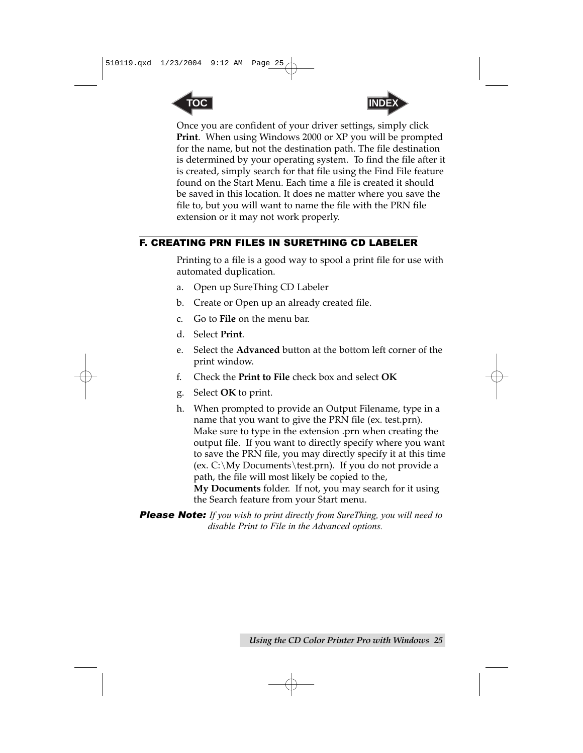<span id="page-32-0"></span>



Once you are confident of your driver settings, simply click **Print**. When using Windows 2000 or XP you will be prompted for the name, but not the destination path. The file destination is determined by your operating system. To find the file after it is created, simply search for that file using the Find File feature found on the Start Menu. Each time a file is created it should be saved in this location. It does ne matter where you save the file to, but you will want to name the file with the PRN file extension or it may not work properly.

#### F. CREATING PRN FILES IN SURETHING CD LABELER

Printing to a file is a good way to spool a print file for use with automated duplication.

- a. Open up SureThing CD Labeler
- b. Create or Open up an already created file.
- c. Go to **File** on the menu bar.
- d. Select **Print**.
- e. Select the **Advanced** button at the bottom left corner of the print window.
- f. Check the **Print to File** check box and select **OK**
- g. Select **OK** to print.
- h. When prompted to provide an Output Filename, type in a name that you want to give the PRN file (ex. test.prn). Make sure to type in the extension .prn when creating the output file. If you want to directly specify where you want to save the PRN file, you may directly specify it at this time (ex.  $C:\My$  Documents \test.prn). If you do not provide a path, the file will most likely be copied to the, **My Documents** folder. If not, you may search for it using the Search feature from your Start menu.

*Please Note: If you wish to print directly from SureThing, you will need to disable Print to File in the Advanced options.*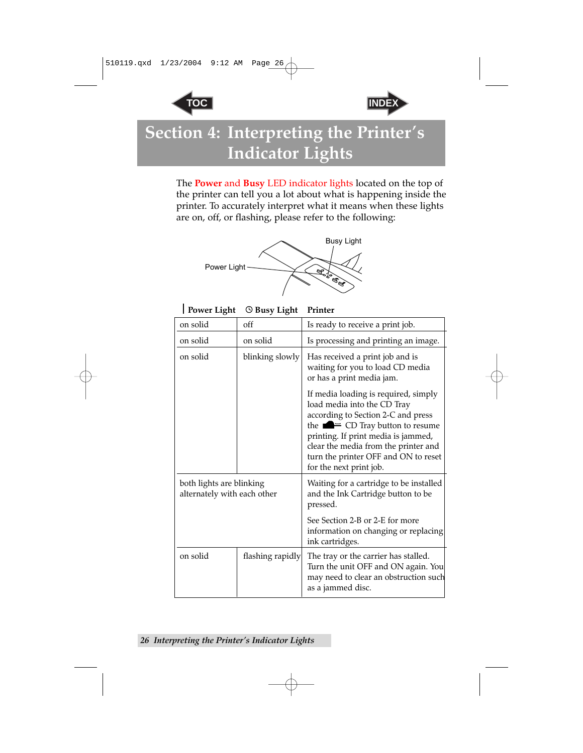



### <span id="page-33-0"></span>**Section 4: Interpreting the Printer's Indicator Lights**

The **Power** and **Busy** LED indicator lights located on the top of the printer can tell you a lot about what is happening inside the printer. To accurately interpret what it means when these lights are on, off, or flashing, please refer to the following:



**Power Light © Busy Light Printer** 

| on solid                                                | off              | Is ready to receive a print job.                                                                                                                                                                                                                                                                             |  |
|---------------------------------------------------------|------------------|--------------------------------------------------------------------------------------------------------------------------------------------------------------------------------------------------------------------------------------------------------------------------------------------------------------|--|
| on solid<br>on solid                                    |                  | Is processing and printing an image.                                                                                                                                                                                                                                                                         |  |
| on solid<br>blinking slowly                             |                  | Has received a print job and is<br>waiting for you to load CD media<br>or has a print media jam.                                                                                                                                                                                                             |  |
|                                                         |                  | If media loading is required, simply<br>load media into the CD Tray<br>according to Section 2-C and press<br>the $\blacksquare$ = CD Tray button to resume<br>printing. If print media is jammed,<br>clear the media from the printer and<br>turn the printer OFF and ON to reset<br>for the next print job. |  |
| both lights are blinking<br>alternately with each other |                  | Waiting for a cartridge to be installed<br>and the Ink Cartridge button to be<br>pressed.                                                                                                                                                                                                                    |  |
|                                                         |                  | See Section 2-B or 2-E for more<br>information on changing or replacing<br>ink cartridges.                                                                                                                                                                                                                   |  |
| on solid                                                | flashing rapidly | The tray or the carrier has stalled.<br>Turn the unit OFF and ON again. You<br>may need to clear an obstruction such<br>as a jammed disc.                                                                                                                                                                    |  |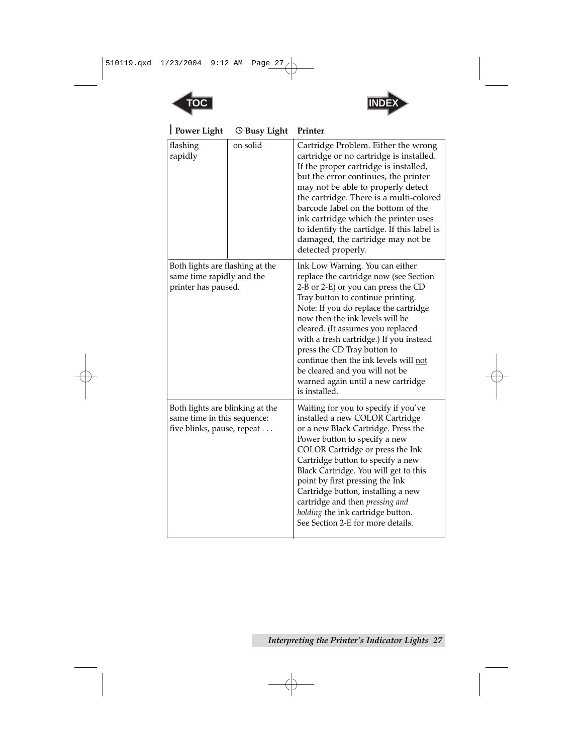

| <b>Power Light</b>                                                                           | <b><i>O</i></b> Busy Light | Printer                                                                                                                                                                                                                                                                                                                                                                                                                                                                            |
|----------------------------------------------------------------------------------------------|----------------------------|------------------------------------------------------------------------------------------------------------------------------------------------------------------------------------------------------------------------------------------------------------------------------------------------------------------------------------------------------------------------------------------------------------------------------------------------------------------------------------|
| flashing<br>rapidly                                                                          | on solid                   | Cartridge Problem. Either the wrong<br>cartridge or no cartridge is installed.<br>If the proper cartridge is installed,<br>but the error continues, the printer<br>may not be able to properly detect<br>the cartridge. There is a multi-colored<br>barcode label on the bottom of the<br>ink cartridge which the printer uses<br>to identify the cartidge. If this label is<br>damaged, the cartridge may not be<br>detected properly.                                            |
| Both lights are flashing at the<br>same time rapidly and the<br>printer has paused.          |                            | Ink Low Warning. You can either<br>replace the cartridge now (see Section<br>2-B or 2-E) or you can press the CD<br>Tray button to continue printing.<br>Note: If you do replace the cartridge<br>now then the ink levels will be<br>cleared. (It assumes you replaced<br>with a fresh cartridge.) If you instead<br>press the CD Tray button to<br>continue then the ink levels will not<br>be cleared and you will not be<br>warned again until a new cartridge<br>is installed. |
| Both lights are blinking at the<br>same time in this sequence:<br>five blinks, pause, repeat |                            | Waiting for you to specify if you've<br>installed a new COLOR Cartridge<br>or a new Black Cartridge. Press the<br>Power button to specify a new<br>COLOR Cartridge or press the Ink<br>Cartridge button to specify a new<br>Black Cartridge. You will get to this<br>point by first pressing the Ink<br>Cartridge button, installing a new<br>cartridge and then pressing and<br>holding the ink cartridge button.<br>See Section 2-E for more details.                            |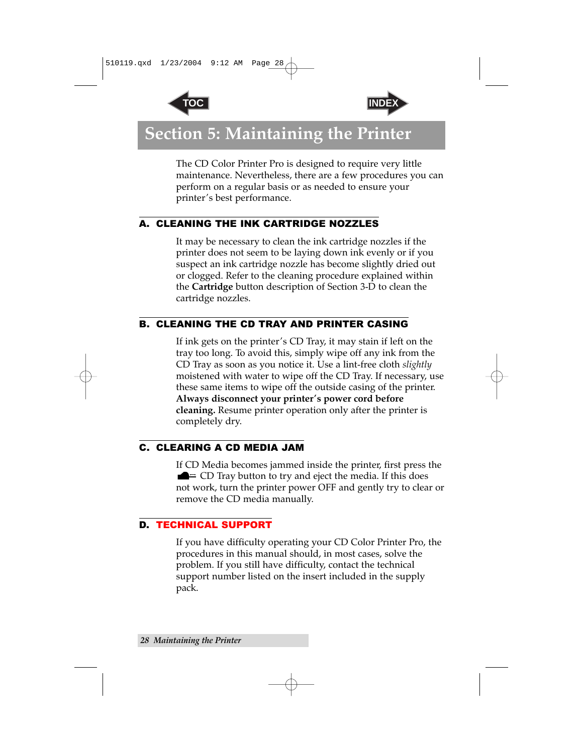



### <span id="page-35-0"></span>**Section 5: Maintaining the Printer**

The CD Color Printer Pro is designed to require very little maintenance. Nevertheless, there are a few procedures you can perform on a regular basis or as needed to ensure your printer's best performance.

#### A. CLEANING THE INK CARTRIDGE NOZZLES

It may be necessary to clean the ink cartridge nozzles if the printer does not seem to be laying down ink evenly or if you suspect an ink cartridge nozzle has become slightly dried out or clogged. Refer to the cleaning procedure explained within the **Cartridge** button description of Section 3-D to clean the cartridge nozzles.

#### B. CLEANING THE CD TRAY AND PRINTER CASING

If ink gets on the printer's CD Tray, it may stain if left on the tray too long. To avoid this, simply wipe off any ink from the CD Tray as soon as you notice it. Use a lint-free cloth *slightly* moistened with water to wipe off the CD Tray. If necessary, use these same items to wipe off the outside casing of the printer. **Always disconnect your printer's power cord before cleaning.** Resume printer operation only after the printer is completely dry.

#### C. CLEARING A CD MEDIA JAM

If CD Media becomes jammed inside the printer, first press the  $\blacksquare$   $\equiv$  CD Tray button to try and eject the media. If this does not work, turn the printer power OFF and gently try to clear or remove the CD media manually.

#### D. TECHNICAL SUPPORT

If you have difficulty operating your CD Color Printer Pro, the procedures in this manual should, in most cases, solve the problem. If you still have difficulty, contact the technical support number listed on the insert included in the supply pack.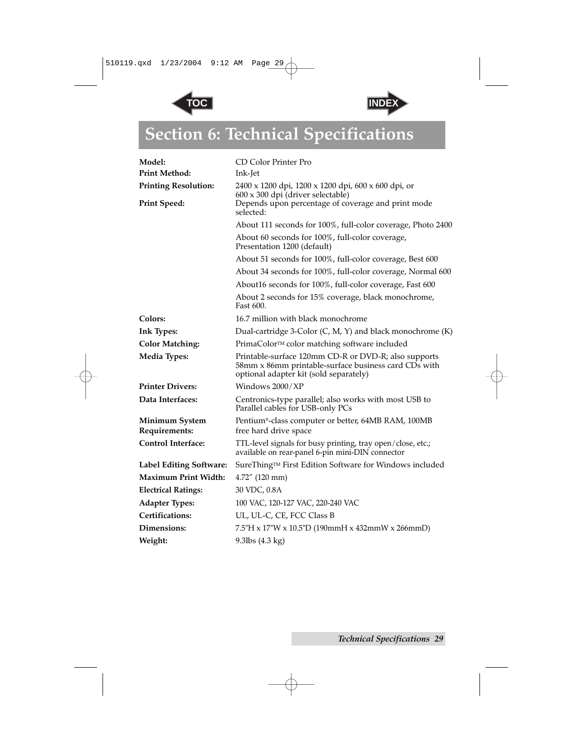



## <span id="page-36-0"></span>**Section 6: Technical Specifications**

| Model:<br><b>Print Method:</b>  | CD Color Printer Pro<br>Ink-Jet                                                                                                                        |
|---------------------------------|--------------------------------------------------------------------------------------------------------------------------------------------------------|
| <b>Printing Resolution:</b>     | 2400 x 1200 dpi, 1200 x 1200 dpi, 600 x 600 dpi, or                                                                                                    |
| <b>Print Speed:</b>             | 600 x 300 dpi (driver selectable)<br>Depends upon percentage of coverage and print mode<br>selected:                                                   |
|                                 | About 111 seconds for 100%, full-color coverage, Photo 2400                                                                                            |
|                                 | About 60 seconds for 100%, full-color coverage,<br>Presentation 1200 (default)                                                                         |
|                                 | About 51 seconds for 100%, full-color coverage, Best 600                                                                                               |
|                                 | About 34 seconds for 100%, full-color coverage, Normal 600                                                                                             |
|                                 | About16 seconds for 100%, full-color coverage, Fast 600                                                                                                |
|                                 | About 2 seconds for 15% coverage, black monochrome,<br>Fast 600.                                                                                       |
| Colors:                         | 16.7 million with black monochrome                                                                                                                     |
| <b>Ink Types:</b>               | Dual-cartridge 3-Color (C, M, Y) and black monochrome (K)                                                                                              |
| <b>Color Matching:</b>          | PrimaColor™ color matching software included                                                                                                           |
| <b>Media Types:</b>             | Printable-surface 120mm CD-R or DVD-R; also supports<br>58mm x 86mm printable-surface business card CDs with<br>optional adapter kit (sold separately) |
| <b>Printer Drivers:</b>         | Windows 2000/XP                                                                                                                                        |
| Data Interfaces:                | Centronics-type parallel; also works with most USB to<br>Parallel cables for USB-only PCs                                                              |
| Minimum System<br>Requirements: | Pentium®-class computer or better, 64MB RAM, 100MB<br>free hard drive space                                                                            |
| <b>Control Interface:</b>       | TTL-level signals for busy printing, tray open/close, etc.;<br>available on rear-panel 6-pin mini-DIN connector                                        |
| Label Editing Software:         | SureThing™ First Edition Software for Windows included                                                                                                 |
| Maximum Print Width:            | 4.72" (120 mm)                                                                                                                                         |
| <b>Electrical Ratings:</b>      | 30 VDC, 0.8A                                                                                                                                           |
| <b>Adapter Types:</b>           | 100 VAC, 120-127 VAC, 220-240 VAC                                                                                                                      |
| Certifications:                 | UL, UL-C, CE, FCC Class B                                                                                                                              |
| Dimensions:                     | $7.5$ "H x 17"W x 10.5"D (190mmH x 432mmW x 266mmD)                                                                                                    |
| Weight:                         | 9.3lbs $(4.3 \text{ kg})$                                                                                                                              |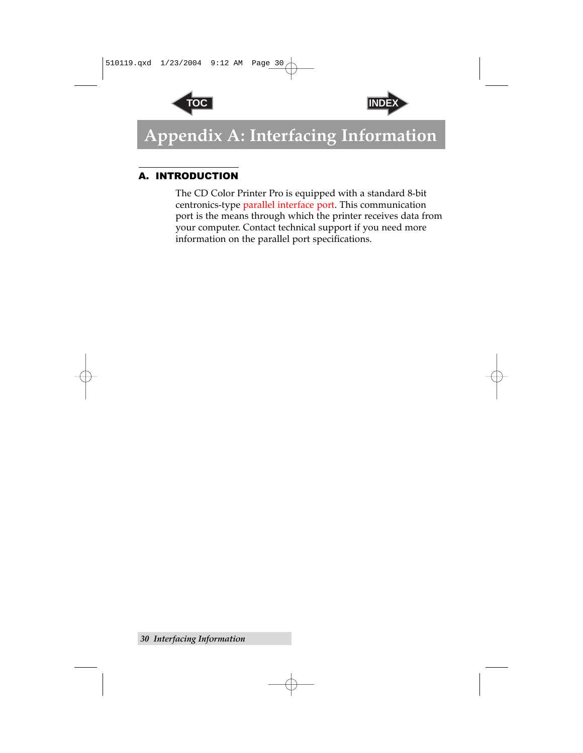



### <span id="page-37-0"></span>**Appendix A: Interfacing Information**

#### A. INTRODUCTION

The CD Color Printer Pro is equipped with a standard 8-bit centronics-type parallel interface port. This communication port is the means through which the printer receives data from your computer. Contact technical support if you need more information on the parallel port specifications.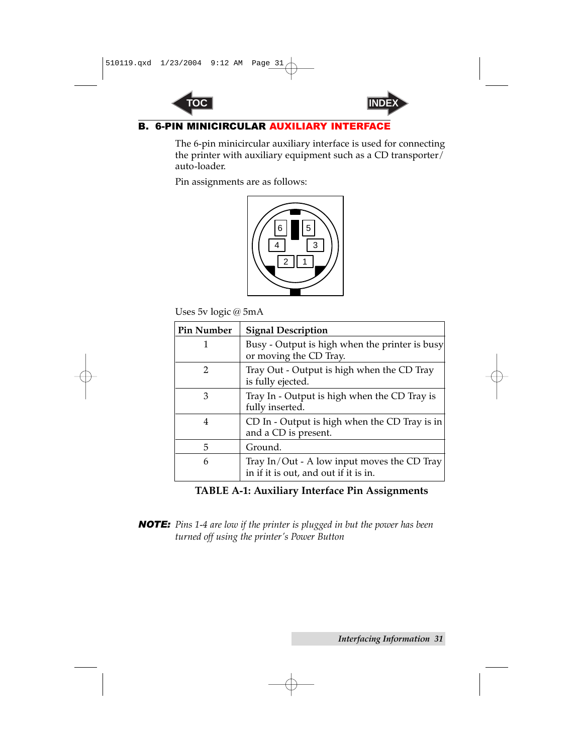



#### <span id="page-38-0"></span>**B. 6-PIN MINICIRCULAR AUXILIARY INTER**

The 6-pin minicircular auxiliary interface is used for connecting the printer with auxiliary equipment such as a CD transporter/ auto-loader.

Pin assignments are as follows:



Uses 5v logic @ 5mA

| <b>Pin Number</b> | <b>Signal Description</b>                                                            |
|-------------------|--------------------------------------------------------------------------------------|
|                   | Busy - Output is high when the printer is busy<br>or moving the CD Tray.             |
| 2                 | Tray Out - Output is high when the CD Tray<br>is fully ejected.                      |
| 3                 | Tray In - Output is high when the CD Tray is<br>fully inserted.                      |
| 4                 | CD In - Output is high when the CD Tray is in<br>and a CD is present.                |
| 5                 | Ground.                                                                              |
| 6                 | Tray In/Out - A low input moves the CD Tray<br>in if it is out, and out if it is in. |

#### **TABLE A-1: Auxiliary Interface Pin Assignments**

*NOTE: Pins 1-4 are low if the printer is plugged in but the power has been turned off using the printer's Power Button*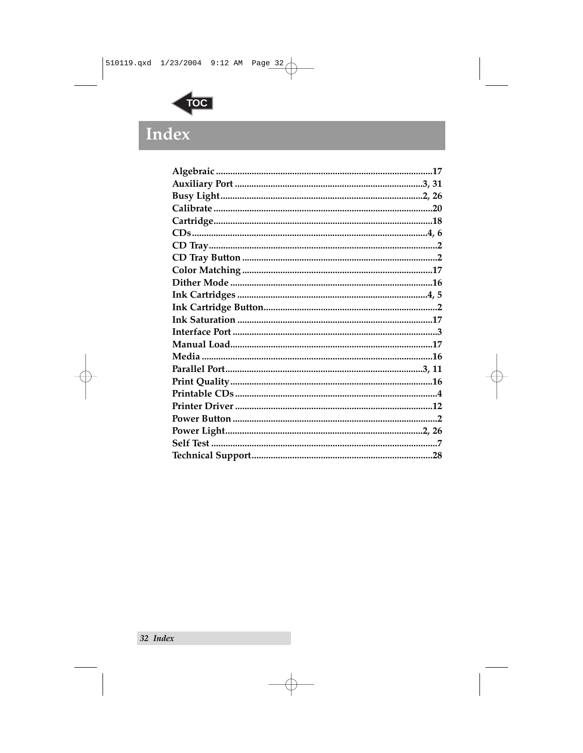<span id="page-39-0"></span>